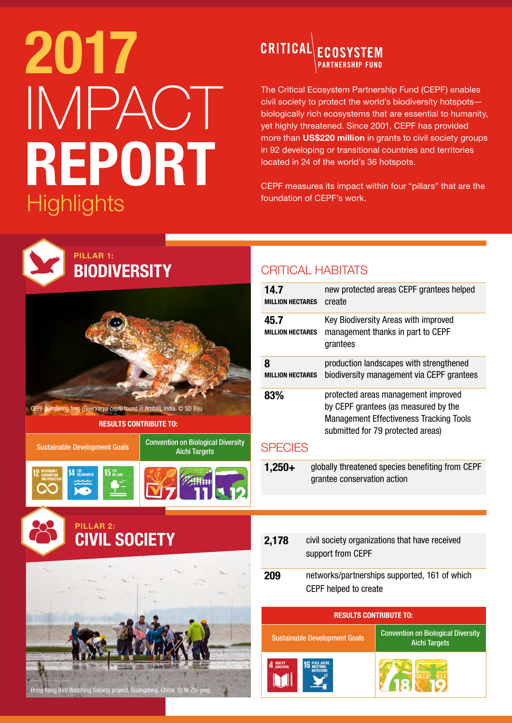## 2017 IMPACT REPORT Highlights **helion of CEPF's work.**

#### CRITICAL ECOSYSTEM **PARTNERSHIP FUND**

The Critical Ecosystem Partnership Fund (CEPF) enables civil society to protect the world's biodiversity hotspots biologically rich ecosystems that are essential to humanity, yet highly threatened. Since 2001, CEPF has provided more than US\$220 million in grants to civil society groups in 92 developing or transitional countries and territories located in 24 of the world's 36 hotspots.

CEPF measures its impact within four "pillars" that are the



Hong Kong Bird Watching Society project, Guangdong, China. © Ye Zhi-ying

M

| 14.7<br><b>MILLION HECTARES</b>                                                             | new protected areas CEPF grantees helped<br>create                                                                                                                 |                                                                   |  |  |
|---------------------------------------------------------------------------------------------|--------------------------------------------------------------------------------------------------------------------------------------------------------------------|-------------------------------------------------------------------|--|--|
| 45.7<br><b>MILLION HECTARES</b>                                                             | Key Biodiversity Areas with improved<br>management thanks in part to CEPF<br>grantees                                                                              |                                                                   |  |  |
| 8<br><b>MILLION HECTARES</b>                                                                | production landscapes with strengthened<br>biodiversity management via CEPF grantees                                                                               |                                                                   |  |  |
| 83%                                                                                         | protected areas management improved<br>by CEPF grantees (as measured by the<br><b>Management Effectiveness Tracking Tools</b><br>submitted for 79 protected areas) |                                                                   |  |  |
| <b>SPECIES</b>                                                                              |                                                                                                                                                                    |                                                                   |  |  |
| globally threatened species benefiting from CEPF<br>$1,250+$<br>grantee conservation action |                                                                                                                                                                    |                                                                   |  |  |
|                                                                                             |                                                                                                                                                                    |                                                                   |  |  |
|                                                                                             |                                                                                                                                                                    |                                                                   |  |  |
| 2,178                                                                                       | civil society organizations that have received<br>support from CEPF                                                                                                |                                                                   |  |  |
| 209                                                                                         | networks/partnerships supported, 161 of which<br>CEPF helped to create                                                                                             |                                                                   |  |  |
| <b>RESULTS CONTRIBUTE TO:</b>                                                               |                                                                                                                                                                    |                                                                   |  |  |
| <b>Sustainable Development Goals</b>                                                        |                                                                                                                                                                    | <b>Convention on Biological Diversity</b><br><b>Aichi Targets</b> |  |  |
|                                                                                             |                                                                                                                                                                    |                                                                   |  |  |

18 19